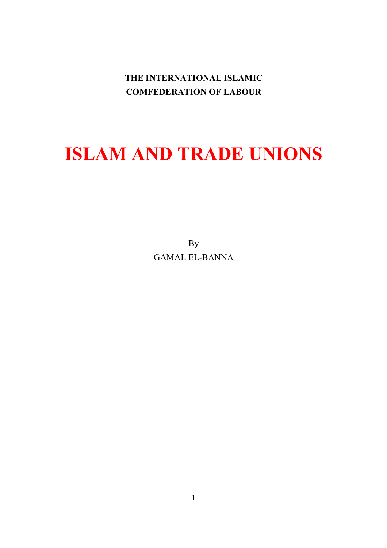**THE INTERNATIONAL ISLAMIC COMFEDERATION OF LABOUR**

# **ISLAM AND TRADE UNIONS**

By GAMAL EL-BANNA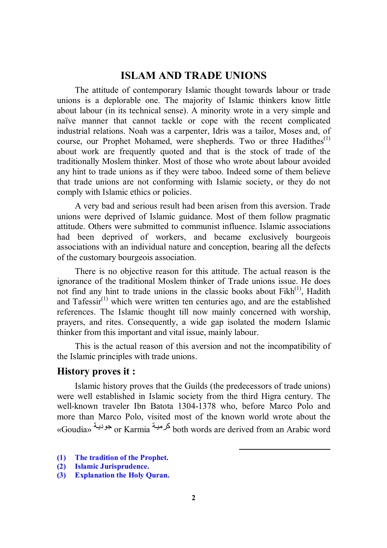# **ISLAM AND TRADE UNIONS**

The attitude of contemporary Islamic thought towards labour or trade unions is a deplorable one. The majority of Islamic thinkers know little about labour (in its technical sense). A minority wrote in a very simple and naïve manner that cannot tackle or cope with the recent complicated industrial relations. Noah was a carpenter, Idris was a tailor, Moses and, of course, our Prophet Mohamed, were shepherds. Two or three Hadithes<sup>(1)</sup> about work are frequently quoted and that is the stock of trade of the traditionally Moslem thinker. Most of those who wrote about labour avoided any hint to trade unions as if they were taboo. Indeed some of them believe that trade unions are not conforming with Islamic society, or they do not comply with Islamic ethics or policies.

A very bad and serious result had been arisen from this aversion. Trade unions were deprived of Islamic guidance. Most of them follow pragmatic attitude. Others were submitted to communist influence. Islamic associations had been deprived of workers, and became exclusively bourgeois associations with an individual nature and conception, bearing all the defects of the customary bourgeois association.

There is no objective reason for this attitude. The actual reason is the ignorance of the traditional Moslem thinker of Trade unions issue. He does not find any hint to trade unions in the classic books about  $Fikh^{(1)}$ , Hadith and Tafessi $r^{(1)}$  which were written ten centuries ago, and are the established references. The Islamic thought till now mainly concerned with worship, prayers, and rites. Consequently, a wide gap isolated the modern Islamic thinker from this important and vital issue, mainly labour.

This is the actual reason of this aversion and not the incompatibility of the Islamic principles with trade unions.

#### **History proves it :**

Islamic history proves that the Guilds (the predecessors of trade unions) were well established in Islamic society from the third Higra century. The well-known traveler Ibn Batota 1304-1378 who, before Marco Polo and more than Marco Polo, visited most of the known world wrote about the «Goudia» مجودیة or Karmia تمرهیبة both words are derived from an Arabic word

l

- **(1) The tradition of the Prophet.**
- **(2) Islamic Jurisprudence.**
- **(3) Explanation the Holy Quran.**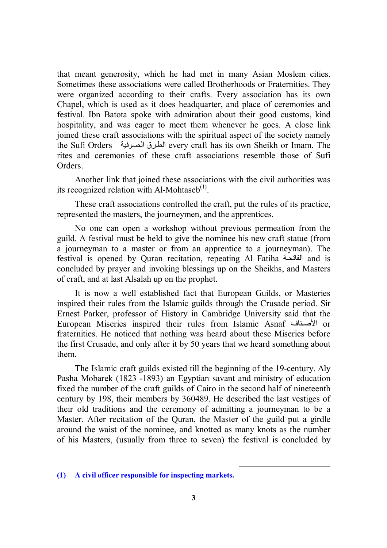that meant generosity, which he had met in many Asian Moslem cities. Sometimes these associations were called Brotherhoods or Fraternities. They were organized according to their crafts. Every association has its own Chapel, which is used as it does headquarter, and place of ceremonies and festival. Ibn Batota spoke with admiration about their good customs, kind hospitality, and was eager to meet them whenever he goes. A close link joined these craft associations with the spiritual aspect of the society namely the Sufi Orders الطرق الصوفية every craft has its own Sheikh or Imam. The rites and ceremonies of these craft associations resemble those of Sufi **Orders** 

Another link that joined these associations with the civil authorities was its recognized relation with Al-Mohtaseb $<sup>(1)</sup>$ .</sup>

These craft associations controlled the craft, put the rules of its practice, represented the masters, the journeymen, and the apprentices.

No one can open a workshop without previous permeation from the guild. A festival must be held to give the nominee his new craft statue (from a journeyman to a master or from an apprentice to a journeyman). The festival is opened by Quran recitation, repeating Al Fatiha ألفاتحة and is concluded by prayer and invoking blessings up on the Sheikhs, and Masters of craft, and at last Alsalah up on the prophet.

It is now a well established fact that European Guilds, or Masteries inspired their rules from the Islamic guilds through the Crusade period. Sir Ernest Parker, professor of History in Cambridge University said that the European Miseries inspired their rules from Islamic Asnaf ألأصناف or fraternities. He noticed that nothing was heard about these Miseries before the first Crusade, and only after it by 50 years that we heard something about them.

The Islamic craft guilds existed till the beginning of the 19-century. Aly Pasha Mobarek (1823 -1893) an Egyptian savant and ministry of education fixed the number of the craft guilds of Cairo in the second half of nineteenth century by 198, their members by 360489. He described the last vestiges of their old traditions and the ceremony of admitting a journeyman to be a Master. After recitation of the Quran, the Master of the guild put a girdle around the waist of the nominee, and knotted as many knots as the number of his Masters, (usually from three to seven) the festival is concluded by

-

**<sup>(1)</sup> A civil officer responsible for inspecting markets.**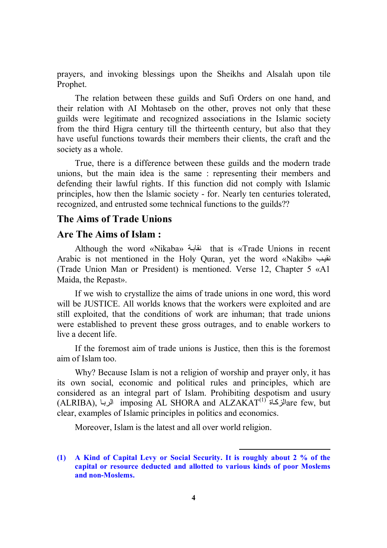prayers, and invoking blessings upon the Sheikhs and Alsalah upon tile Prophet.

The relation between these guilds and Sufi Orders on one hand, and their relation with AI Mohtaseb on the other, proves not only that these guilds were legitimate and recognized associations in the Islamic society from the third Higra century till the thirteenth century, but also that they have useful functions towards their members their clients, the craft and the society as a whole.

True, there is a difference between these guilds and the modern trade unions, but the main idea is the same : representing their members and defending their lawful rights. If this function did not comply with Islamic principles, how then the lslamic society - for. Nearly ten centuries tolerated, recognized, and entrusted some technical functions to the guilds??

## **The Aims of Trade Unions**

### **Are The Aims of Islam :**

Although the word «Nikaba» نقابة that is «Trade Unions in recent Arabic is not mentioned in the Holy Quran, yet the word «Nakib» بنقیب (Trade Union Man or President) is mentioned. Verse 12, Chapter 5 «A1 Maida, the Repast».

If we wish to crystallize the aims of trade unions in one word, this word will be JUSTICE. All worlds knows that the workers were exploited and are still exploited, that the conditions of work are inhuman; that trade unions were established to prevent these gross outrages, and to enable workers to live a decent life.

If the foremost aim of trade unions is Justice, then this is the foremost aim of Islam too.

Why? Because Islam is not a religion of worship and prayer only, it has its own social, economic and political rules and principles, which are considered as an integral part of Islam. Prohibiting despotism and usury  $\rm (ALRIBA),$  الزبا imposing  $\rm AL$  SHORA and  $\rm ALZAKAT^{(1)}$  are few, but clear, examples of Islamic principles in politics and economics.

Moreover, Islam is the latest and all over world religion.

l

**<sup>(1)</sup> A Kind of Capital Levy or Social Security. It is roughly about 2 % of the capital or resource deducted and allotted to various kinds of poor Moslems and non-Moslems.**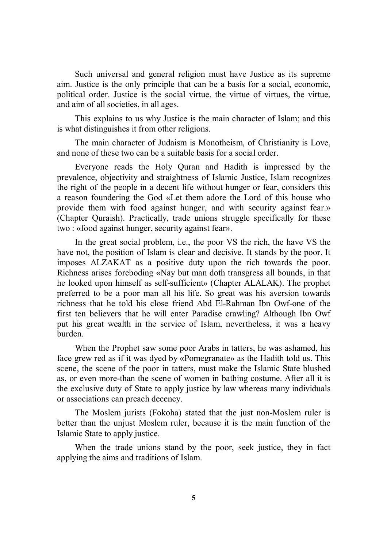Such universal and general religion must have Justice as its supreme aim. Justice is the only principle that can be a basis for a social, economic, political order. Justice is the social virtue, the virtue of virtues, the virtue, and aim of all societies, in all ages.

This explains to us why Justice is the main character of Islam; and this is what distinguishes it from other religions.

The main character of Judaism is Monotheism, of Christianity is Love, and none of these two can be a suitable basis for a social order.

Everyone reads the Holy Quran and Hadith is impressed by the prevalence, objectivity and straightness of Islamic Justice, Islam recognizes the right of the people in a decent life without hunger or fear, considers this a reason foundering the God «Let them adore the Lord of this house who provide them with food against hunger, and with security against fear.» (Chapter Quraish). Practically, trade unions struggle specifically for these two : «food against hunger, security against fear».

In the great social problem, i.e., the poor VS the rich, the have VS the have not, the position of Islam is clear and decisive. It stands by the poor. It imposes ALZAKAT as a positive duty upon the rich towards the poor. Richness arises foreboding «Nay but man doth transgress all bounds, in that he looked upon himself as self-sufficient» (Chapter ALALAK). The prophet preferred to be a poor man all his life. So great was his aversion towards richness that he told his close friend Abd El-Rahman Ibn Owf-one of the first ten believers that he will enter Paradise crawling? Although Ibn Owf put his great wealth in the service of Islam, nevertheless, it was a heavy burden.

When the Prophet saw some poor Arabs in tatters, he was ashamed, his face grew red as if it was dyed by «Pomegranate» as the Hadith told us. This scene, the scene of the poor in tatters, must make the Islamic State blushed as, or even more-than the scene of women in bathing costume. After all it is the exclusive duty of State to apply justice by law whereas many individuals or associations can preach decency.

The Moslem jurists (Fokoha) stated that the just non-Moslem ruler is better than the unjust Moslem ruler, because it is the main function of the Islamic State to apply justice.

When the trade unions stand by the poor, seek justice, they in fact applying the aims and traditions of Islam.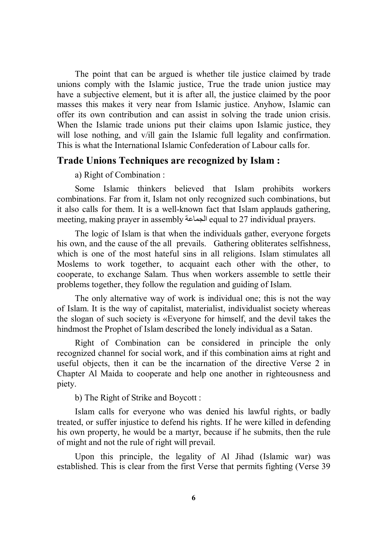The point that can be argued is whether tile justice claimed by trade unions comply with the Islamic justice, True the trade union justice may have a subjective element, but it is after all, the justice claimed by the poor masses this makes it very near from Islamic justice. Anyhow, Islamic can offer its own contribution and can assist in solving the trade union crisis. When the Islamic trade unions put their claims upon Islamic justice, they will lose nothing, and v/ill gain the Islamic full legality and confirmation. This is what the International Islamic Confederation of Labour calls for.

#### **Trade Unions Techniques are recognized by Islam :**

a) Right of Combination :

Some Islamic thinkers believed that Islam prohibits workers combinations. Far from it, Islam not only recognized such combinations, but it also calls for them. It is a well-known fact that Islam applauds gathering, meeting, making prayer in assembly الجماعة equal to 27 individual prayers.

The logic of Islam is that when the individuals gather, everyone forgets his own, and the cause of the all prevails. Gathering obliterates selfishness, which is one of the most hateful sins in all religions. Islam stimulates all Moslems to work together, to acquaint each other with the other, to cooperate, to exchange Salam. Thus when workers assemble to settle their problems together, they follow the regulation and guiding of Islam.

The only alternative way of work is individual one; this is not the way of Islam. It is the way of capitalist, materialist, individualist society whereas the slogan of such society is «Everyone for himself, and the devil takes the hindmost the Prophet of Islam described the lonely individual as a Satan.

Right of Combination can be considered in principle the only recognized channel for social work, and if this combination aims at right and useful objects, then it can be the incarnation of the directive Verse 2 in Chapter Al Maida to cooperate and help one another in righteousness and piety.

b) The Right of Strike and Boycott :

Islam calls for everyone who was denied his lawful rights, or badly treated, or suffer injustice to defend his rights. If he were killed in defending his own property, he would be a martyr, because if he submits, then the rule of might and not the rule of right will prevail.

Upon this principle, the legality of Al Jihad (Islamic war) was established. This is clear from the first Verse that permits fighting (Verse 39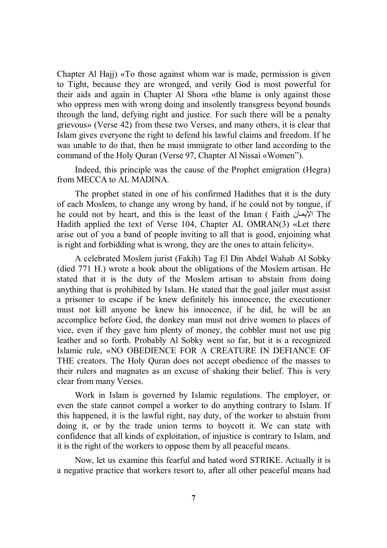Chapter Al Hajj) «To those against whom war is made, permission is given to Tight, because they are wronged, and verily God is most powerful for their aids and again in Chapter Al Shora «the blame is only against those who oppress men with wrong doing and insolently transgress beyond bounds through the land, defying right and justice. For such there will be a penalty grievous» (Verse 42) from these two Verses, and many others, it is clear that Islam gives everyone the right to defend his lawful claims and freedom. If he was unable to do that, then he must immigrate to other land according to the command of the Holy Quran (Verse 97, Chapter Al Nissai «Women").

Indeed, this principle was the cause of the Prophet emigration (Hegra) from MECCA to AL MADINA.

The prophet stated in one of his confirmed Hadithes that it is the duty of each Moslem, to change any wrong by hand, if he could not by tongue, if he could not by heart, and this is the least of the Iman ( Faith الإيمان The Hadith applied the text of Verse 104, Chapter AL OMRAN(3) «Let there arise out of you a band of people inviting to all that is good, enjoining what is right and forbidding what is wrong, they are the ones to attain felicity».

A celebrated Moslem jurist (Fakih) Tag El Din Abdel Wahab Al Sobky (died 771 H.) wrote a book about the obligations of the Moslem artisan. He stated that it is the duty of the Moslem artisan to abstain from doing anything that is prohibited by Islam. He stated that the goal jailer must assist a prisoner to escape if be knew definitely his innocence, the executioner must not kill anyone be knew his innocence, if he did, he will be an accomplice before God, the donkey man must not drive women to places of vice, even if they gave him plenty of money, the cobbler must not use pig leather and so forth. Probably Al Sobky went so far, but it is a recognized Islamic rule, «NO OBEDIENCE FOR A CREATURE IN DEFIANCE OF THE creators. The Holy Quran does not accept obedience of the masses to their rulers and magnates as an excuse of shaking their belief. This is very clear from many Verses.

Work in Islam is governed by Islamic regulations. The employer, or even the state cannot compel a worker to do anything contrary to Islam. If this happened, it is the lawful right, nay duty, of the worker to abstain from doing it, or by the trade union terms to boycott it. We can state with confidence that all kinds of exploitation, of injustice is contrary to Islam, and it is the right of the workers to oppose them by all peaceful means.

Now, let us examine this fearful and hated word STRIKE. Actually it is a negative practice that workers resort to, after all other peaceful means had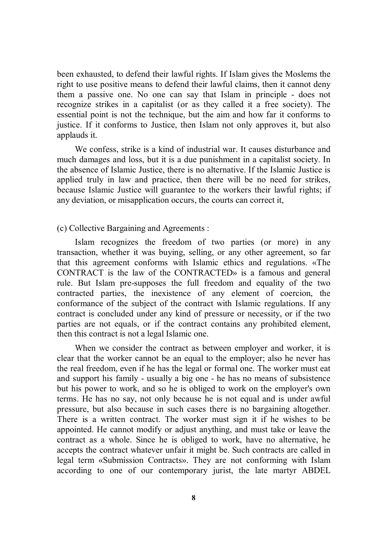been exhausted, to defend their lawful rights. If Islam gives the Moslems the right to use positive means to defend their lawful claims, then it cannot deny them a passive one. No one can say that Islam in principle - does not recognize strikes in a capitalist (or as they called it a free society). The essential point is not the technique, but the aim and how far it conforms to justice. If it conforms to Justice, then Islam not only approves it, but also applauds it.

We confess, strike is a kind of industrial war. It causes disturbance and much damages and loss, but it is a due punishment in a capitalist society. In the absence of Islamic Justice, there is no alternative. If the Islamic Justice is applied truly in law and practice, then there will be no need for strikes, because Islamic Justice will guarantee to the workers their lawful rights; if any deviation, or misapplication occurs, the courts can correct it,

(c) Collective Bargaining and Agreements :

Islam recognizes the freedom of two parties (or more) in any transaction, whether it was buying, selling, or any other agreement, so far that this agreement conforms with Islamic ethics and regulations. «The CONTRACT is the law of the CONTRACTED» is a famous and general rule. But Islam pre-supposes the full freedom and equality of the two contracted parties, the inexistence of any element of coercion, the conformance of the subject of the contract with Islamic regulations. If any contract is concluded under any kind of pressure or necessity, or if the two parties are not equals, or if the contract contains any prohibited element, then this contract is not a legal Islamic one.

When we consider the contract as between employer and worker, it is clear that the worker cannot be an equal to the employer; also he never has the real freedom, even if he has the legal or formal one. The worker must eat and support his family - usually a big one - he has no means of subsistence but his power to work, and so he is obliged to work on the employer's own terms. He has no say, not only because he is not equal and is under awful pressure, but also because in such cases there is no bargaining altogether. There is a written contract. The worker must sign it if he wishes to be appointed. He cannot modify or adjust anything, and must take or leave the contract as a whole. Since he is obliged to work, have no alternative, he accepts the contract whatever unfair it might be. Such contracts are called in legal term «Submission Contracts». They are not conforming with Islam according to one of our contemporary jurist, the late martyr ABDEL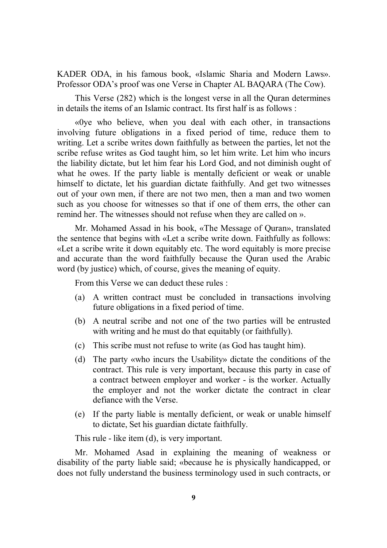KADER ODA, in his famous book, «Islamic Sharia and Modern Laws». Professor ODA's proof was one Verse in Chapter AL BAQARA (The Cow).

This Verse (282) which is the longest verse in all the Quran determines in details the items of an Islamic contract. Its first half is as follows :

«0ye who believe, when you deal with each other, in transactions involving future obligations in a fixed period of time, reduce them to writing. Let a scribe writes down faithfully as between the parties, let not the scribe refuse writes as God taught him, so let him write. Let him who incurs the liability dictate, but let him fear his Lord God, and not diminish ought of what he owes. If the party liable is mentally deficient or weak or unable himself to dictate, let his guardian dictate faithfully. And get two witnesses out of your own men, if there are not two men, then a man and two women such as you choose for witnesses so that if one of them errs, the other can remind her. The witnesses should not refuse when they are called on ».

Mr. Mohamed Assad in his book, «The Message of Quran», translated the sentence that begins with «Let a scribe write down. Faithfully as follows: «Let a scribe write it down equitably etc. The word equitably is more precise and accurate than the word faithfully because the Quran used the Arabic word (by justice) which, of course, gives the meaning of equity.

From this Verse we can deduct these rules :

- (a) A written contract must be concluded in transactions involving future obligations in a fixed period of time.
- (b) A neutral scribe and not one of the two parties will be entrusted with writing and he must do that equitably (or faithfully).
- (c) This scribe must not refuse to write (as God has taught him).
- (d) The party «who incurs the Usability» dictate the conditions of the contract. This rule is very important, because this party in case of a contract between employer and worker - is the worker. Actually the employer and not the worker dictate the contract in clear defiance with the Verse.
- (e) If the party liable is mentally deficient, or weak or unable himself to dictate, Set his guardian dictate faithfully.

This rule - like item (d), is very important.

Mr. Mohamed Asad in explaining the meaning of weakness or disability of the party liable said; «because he is physically handicapped, or does not fully understand the business terminology used in such contracts, or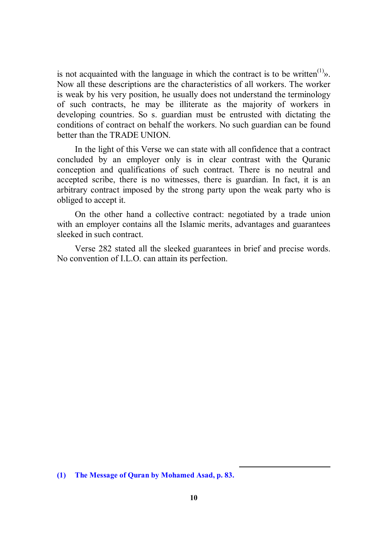is not acquainted with the language in which the contract is to be written<sup>(1)</sup> $\delta$ . Now all these descriptions are the characteristics of all workers. The worker is weak by his very position, he usually does not understand the terminology of such contracts, he may be illiterate as the majority of workers in developing countries. So s. guardian must be entrusted with dictating the conditions of contract on behalf the workers. No such guardian can be found better than the TRADE UNION.

In the light of this Verse we can state with all confidence that a contract concluded by an employer only is in clear contrast with the Quranic conception and qualifications of such contract. There is no neutral and accepted scribe, there is no witnesses, there is guardian. In fact, it is an arbitrary contract imposed by the strong party upon the weak party who is obliged to accept it.

On the other hand a collective contract: negotiated by a trade union with an employer contains all the Islamic merits, advantages and guarantees sleeked in such contract.

Verse 282 stated all the sleeked guarantees in brief and precise words. No convention of I.L.O. can attain its perfection.

-

**<sup>(1)</sup> The Message of Quran by Mohamed Asad, p. 83.**